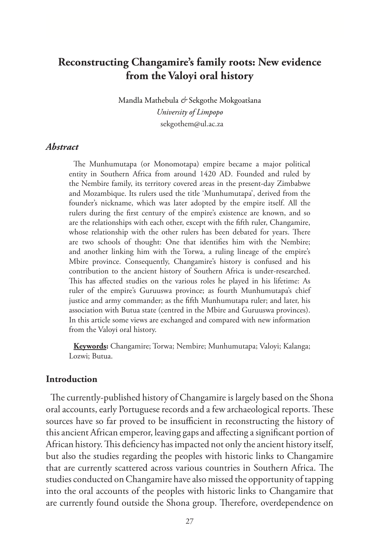# **Reconstructing Changamire's family roots: New evidence from the Valoyi oral history**

Mandla Mathebula *&* Sekgothe Mokgoatšana *University of Limpopo* sekgothem@ul.ac.za

#### *Abstract*

The Munhumutapa (or Monomotapa) empire became a major political entity in Southern Africa from around 1420 AD. Founded and ruled by the Nembire family, its territory covered areas in the present-day Zimbabwe and Mozambique. Its rulers used the title 'Munhumutapa', derived from the founder's nickname, which was later adopted by the empire itself. All the rulers during the first century of the empire's existence are known, and so are the relationships with each other, except with the fifth ruler, Changamire, whose relationship with the other rulers has been debated for years. There are two schools of thought: One that identifies him with the Nembire; and another linking him with the Torwa, a ruling lineage of the empire's Mbire province. Consequently, Changamire's history is confused and his contribution to the ancient history of Southern Africa is under-researched. This has affected studies on the various roles he played in his lifetime: As ruler of the empire's Guruuswa province; as fourth Munhumutapa's chief justice and army commander; as the fifth Munhumutapa ruler; and later, his association with Butua state (centred in the Mbire and Guruuswa provinces). In this article some views are exchanged and compared with new information from the Valoyi oral history.

**Keywords:** Changamire; Torwa; Nembire; Munhumutapa; Valoyi; Kalanga; Lozwi; Butua.

#### **Introduction**

The currently-published history of Changamire is largely based on the Shona oral accounts, early Portuguese records and a few archaeological reports. These sources have so far proved to be insufficient in reconstructing the history of this ancient African emperor, leaving gaps and affecting a significant portion of African history. This deficiency has impacted not only the ancient history itself, but also the studies regarding the peoples with historic links to Changamire that are currently scattered across various countries in Southern Africa. The studies conducted on Changamire have also missed the opportunity of tapping into the oral accounts of the peoples with historic links to Changamire that are currently found outside the Shona group. Therefore, overdependence on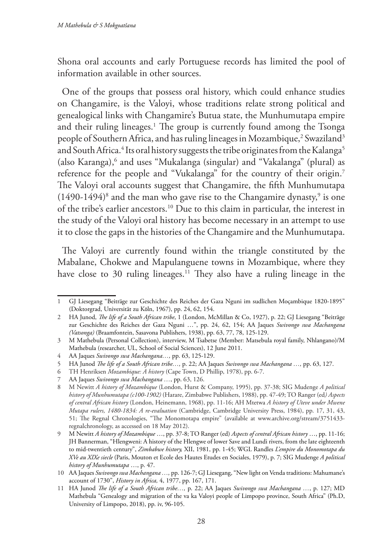Shona oral accounts and early Portuguese records has limited the pool of information available in other sources.

One of the groups that possess oral history, which could enhance studies on Changamire, is the Valoyi, whose traditions relate strong political and genealogical links with Changamire's Butua state, the Munhumutapa empire and their ruling lineages.1 The group is currently found among the Tsonga people of Southern Africa, and has ruling lineages in Mozambique,<sup>2</sup> Swaziland<sup>3</sup> and South Africa.<sup>4</sup> Its oral history suggests the tribe originates from the Kalanga<sup>5</sup> (also Karanga),<sup>6</sup> and uses "Mukalanga (singular) and "Vakalanga" (plural) as reference for the people and "Vukalanga" for the country of their origin.7 The Valoyi oral accounts suggest that Changamire, the fifth Munhumutapa  $(1490-1494)^8$  and the man who gave rise to the Changamire dynasty,<sup>9</sup> is one of the tribe's earlier ancestors.10 Due to this claim in particular, the interest in the study of the Valoyi oral history has become necessary in an attempt to use it to close the gaps in the histories of the Changamire and the Munhumutapa.

The Valoyi are currently found within the triangle constituted by the Mabalane, Chokwe and Mapulanguene towns in Mozambique, where they have close to 30 ruling lineages.<sup>11</sup> They also have a ruling lineage in the

<sup>1</sup> GJ Liesegang "Beiträge zur Geschichte des Reiches der Gaza Nguni im sudlichen Moçambique 1820-1895" (Doktorgrad, Universität zu Kӧln, 1967), pp. 24, 62, 154.

<sup>2</sup> HA Junod, *The life of a South African tribe*, 1 (London, McMillan & Co, 1927), p. 22; GJ Liesegang "Beiträge zur Geschichte des Reiches der Gaza Nguni …", pp. 24, 62, 154; AA Jaques *Swivongo swa Machangana (Vatsonga)* (Braamfontein, Sasavona Publishers, 1938), pp. 63, 77, 78, 125-129.

<sup>3</sup> M Mathebula (Personal Collection), interview, M Tsabetse (Member: Matsebula royal family, Nhlangano)/M Mathebula (researcher, UL, School of Social Sciences), 12 June 2011.

<sup>4</sup> AA Jaques *Swivongo swa Machangana…,* pp. 63, 125-129.

<sup>5</sup> HA Junod *The life of a South African tribe…,* p. 22; AA Jaques *Swivongo swa Machangana …,* pp. 63, 127.

<sup>6</sup> TH Henriksen *Mozambique: A history* (Cape Town, D Phillip, 1978), pp. 6-7.

<sup>7</sup> AA Jaques *Swivongo swa Machangana …*, pp. 63, 126.

<sup>8</sup> M Newitt *A history of Mozambique* (London, Hurst & Company, 1995), pp. 37-38; SIG Mudenge *A political history of Munhumutapa (c100-1902)* (Harare, Zimbabwe Publishers, 1988), pp. 47-49; TO Ranger (ed*) Aspects of central African history* (London, Heinemann, 1968), pp. 11-16; AH Mtetwa *A history of Uteve under Mwene Mutapa rulers, 1480-1834: A re-evaluation* (Cambridge, Cambridge University Press, 1984), pp. 17, 31, 43, 51; The Regnal Chronologies, "The Monomotapa empire" (available at www.archive.org/stream/3751433 regnalchronology, as accessed on 18 May 2012).

<sup>9</sup> M Newitt *A history of Mozambique* …, pp. 37-8; TO Ranger (ed) *Aspects of central African history* …, pp. 11-16; JH Bannerman, "Hlengweni: A history of the Hlengwe of lower Save and Lundi rivers, from the late eighteenth to mid-twentieth century", *Zimbabwe history,* XII, 1981, pp. 1-45; WGL Randles *L'empire du Monomotapa du XVe au XIXe siecle* (Paris, Mouton et Ecole des Hautes Etudes en Sociales, 1979), p. 7; SIG Mudenge *A political history of Munhumutapa* …, p. 47.

<sup>10</sup> AA Jaques *Swivongo swa Machangana …,* pp. 126-7; GJ Liesegang, "New light on Venda traditions: Mahumane's account of 1730", *History in Africa,* 4, 1977, pp. 167, 171.

<sup>11</sup> HA Junod *The life of a South African tribe…,* p. 22; AA Jaques *Swivongo swa Machangana …*, p. 127; MD Mathebula "Genealogy and migration of the va ka Valoyi people of Limpopo province, South Africa" (Ph.D, University of Limpopo, 2018), pp. iv, 96-105.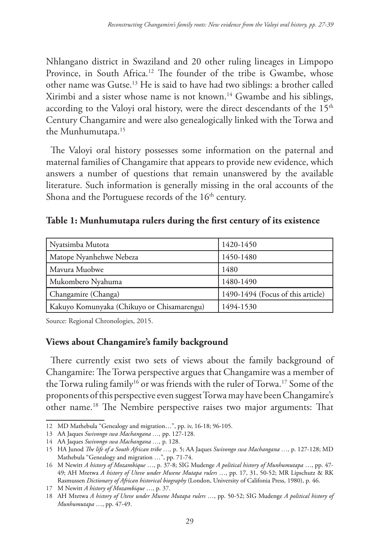Nhlangano district in Swaziland and 20 other ruling lineages in Limpopo Province, in South Africa.<sup>12</sup> The founder of the tribe is Gwambe, whose other name was Gutse.13 He is said to have had two siblings: a brother called Xirimbi and a sister whose name is not known.14 Gwambe and his siblings, according to the Valoyi oral history, were the direct descendants of the  $15<sup>th</sup>$ Century Changamire and were also genealogically linked with the Torwa and the Munhumutapa.15

The Valoyi oral history possesses some information on the paternal and maternal families of Changamire that appears to provide new evidence, which answers a number of questions that remain unanswered by the available literature. Such information is generally missing in the oral accounts of the Shona and the Portuguese records of the  $16<sup>th</sup>$  century.

| Nyatsimba Mutota                           | 1420-1450                         |
|--------------------------------------------|-----------------------------------|
| Matope Nyanhehwe Nebeza                    | 1450-1480                         |
| Mayura Muobwe                              | 1480                              |
| Mukombero Nyahuma                          | 1480-1490                         |
| Changamire (Changa)                        | 1490-1494 (Focus of this article) |
| Kakuyo Komunyaka (Chikuyo or Chisamarengu) | 1494-1530                         |

**Table 1: Munhumutapa rulers during the first century of its existence**

Source: Regional Chronologies, 2015.

### **Views about Changamire's family background**

There currently exist two sets of views about the family background of Changamire: The Torwa perspective argues that Changamire was a member of the Torwa ruling family<sup>16</sup> or was friends with the ruler of Torwa.<sup>17</sup> Some of the proponents of this perspective even suggest Torwa may have been Changamire's other name.18 The Nembire perspective raises two major arguments: That

<sup>12</sup> MD Mathebula "Genealogy and migration…", pp. iv, 16-18; 96-105.

<sup>13</sup> AA Jaques *Swivongo swa Machangana …,* pp. 127-128.

<sup>14</sup> AA Jaques *Swivongo swa Machangana …,* p. 128.

<sup>15</sup> HA Junod *The life of a South African tribe …,* p. 5; AA Jaques *Swivongo swa Machangana …,* p. 127-128; MD Mathebula "Genealogy and migration …", pp. 71-74.

<sup>16</sup> M Newitt *A history of Mozambique* …, p. 37-8; SIG Mudenge *A political history of Munhumutapa* …, pp. 47- 49; AH Mtetwa *A history of Uteve under Mwene Mutapa rulers* …, pp. 17, 31, 50-52; MR Lipschutz & RK Rasmussen *Dictionary of African historical biography* (London, University of Califonia Press, 1980), p. 46.

<sup>17</sup> M Newitt *A history of Mozambique* …, p. 37.

<sup>18</sup> AH Mtetwa *A history of Uteve under Mwene Mutapa rulers* …, pp. 50-52; SIG Mudenge *A political history of Munhumutapa* …, pp. 47-49.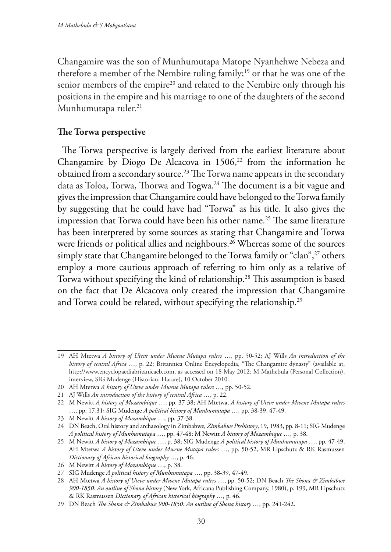Changamire was the son of Munhumutapa Matope Nyanhehwe Nebeza and therefore a member of the Nembire ruling family;<sup>19</sup> or that he was one of the senior members of the empire<sup>20</sup> and related to the Nembire only through his positions in the empire and his marriage to one of the daughters of the second Munhumutapa ruler.<sup>21</sup>

## **The Torwa perspective**

The Torwa perspective is largely derived from the earliest literature about Changamire by Diogo De Alcacova in  $1506$ ,<sup>22</sup> from the information he obtained from a secondary source.<sup>23</sup> The Torwa name appears in the secondary data as Toloa, Torwa, Thorwa and Togwa.<sup>24</sup> The document is a bit vague and gives the impression that Changamire could have belonged to the Torwa family by suggesting that he could have had "Torwa" as his title. It also gives the impression that Torwa could have been his other name.<sup>25</sup> The same literature has been interpreted by some sources as stating that Changamire and Torwa were friends or political allies and neighbours.<sup>26</sup> Whereas some of the sources simply state that Changamire belonged to the Torwa family or "clan",<sup>27</sup> others employ a more cautious approach of referring to him only as a relative of Torwa without specifying the kind of relationship.<sup>28</sup> This assumption is based on the fact that De Alcacova only created the impression that Changamire and Torwa could be related, without specifying the relationship.<sup>29</sup>

<sup>19</sup> AH Mtetwa *A history of Uteve under Mwene Mutapa rulers* …, pp. 50-52; AJ Wills *An introduction of the history of central Africa* …, p. 22*;* Britannica Online Encyclopedia, "The Changamire dynasty" (available at, http://www.encyclopaediabritanicaeb.com, as accessed on 18 May 2012*;* M Mathebula (Personal Collection), interview, SIG Mudenge (Historian, Harare), 10 October 2010.

<sup>20</sup> AH Mtetwa *A history of Uteve under Mwene Mutapa rulers* …, pp. 50-52.

<sup>21</sup> AJ Wills *An introduction of the history of central Africa …,* p. 22.

<sup>22</sup> M Newitt *A history of Mozambique* …, pp. 37-38; AH Mtetwa, *A history of Uteve under Mwene Mutapa rulers* …, pp. 17,31; SIG Mudenge *A political history of Munhumutapa* …, pp. 38-39, 47-49.

<sup>23</sup> M Newitt *A history of Mozambique* …, pp. 37-38.

<sup>24</sup> DN Beach, Oral history and archaeology in Zimbabwe, *Zimbabwe Prehistory*, 19, 1983, pp. 8-11; SIG Mudenge *A political history of Munhumutapa* …, pp. 47-48; M Newitt *A history of Mozambique* …, p. 38.

<sup>25</sup> M Newitt *A history of Mozambique* …, p. 38; SIG Mudenge *A political history of Munhumutapa* …, pp. 47-49, AH Mtetwa *A history of Uteve under Mwene Mutapa rulers* …, pp. 50-52, MR Lipschutz & RK Rasmussen *Dictionary of African historical biography* …, p. 46.

<sup>26</sup> M Newitt *A history of Mozambique* …, p. 38.

<sup>27</sup> SIG Mudenge *A political history of Munhumutapa* …, pp. 38-39, 47-49.

<sup>28</sup> AH Mtetwa *A history of Uteve under Mwene Mutapa rulers* …, pp. 50-52; DN Beach *The Shona & Zimbabwe 900-1850: An outline of Shona history* (New York, Africana Publishing Company, 1980), p. 199, MR Lipschutz & RK Rasmussen *Dictionary of African historical biography* …, p. 46.

<sup>29</sup> DN Beach *The Shona & Zimbabwe 900-1850: An outline of Shona history …*, pp. 241-242.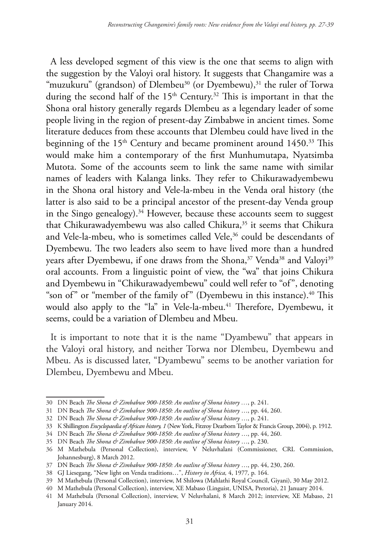A less developed segment of this view is the one that seems to align with the suggestion by the Valoyi oral history. It suggests that Changamire was a "muzukuru" (grandson) of Dlembeu<sup>30</sup> (or Dyembewu),<sup>31</sup> the ruler of Torwa during the second half of the 15<sup>th</sup> Century.<sup>32</sup> This is important in that the Shona oral history generally regards Dlembeu as a legendary leader of some people living in the region of present-day Zimbabwe in ancient times. Some literature deduces from these accounts that Dlembeu could have lived in the beginning of the 15<sup>th</sup> Century and became prominent around 1450.<sup>33</sup> This would make him a contemporary of the first Munhumutapa, Nyatsimba Mutota. Some of the accounts seem to link the same name with similar names of leaders with Kalanga links. They refer to Chikurawadyembewu in the Shona oral history and Vele-la-mbeu in the Venda oral history (the latter is also said to be a principal ancestor of the present-day Venda group in the Singo genealogy).<sup>34</sup> However, because these accounts seem to suggest that Chikurawadyembewu was also called Chikura,<sup>35</sup> it seems that Chikura and Vele-la-mbeu, who is sometimes called Vele,<sup>36</sup> could be descendants of Dyembewu. The two leaders also seem to have lived more than a hundred years after Dyembewu, if one draws from the Shona,<sup>37</sup> Venda<sup>38</sup> and Valoyi<sup>39</sup> oral accounts. From a linguistic point of view, the "wa" that joins Chikura and Dyembewu in "Chikurawadyembewu" could well refer to "of", denoting "son of" or "member of the family of" (Dyembewu in this instance).<sup>40</sup> This would also apply to the "la" in Vele-la-mbeu.<sup>41</sup> Therefore, Dyembewu, it seems, could be a variation of Dlembeu and Mbeu.

It is important to note that it is the name "Dyambewu" that appears in the Valoyi oral history, and neither Torwa nor Dlembeu, Dyembewu and Mbeu. As is discussed later, "Dyambewu" seems to be another variation for Dlembeu, Dyembewu and Mbeu.

<sup>30</sup> DN Beach *The Shona & Zimbabwe 900-1850: An outline of Shona history …*, p. 241.

<sup>31</sup> DN Beach *The Shona & Zimbabwe 900-1850: An outline of Shona history* …, pp. 44, 260.

<sup>32</sup> DN Beach *The Shona & Zimbabwe 900-1850: An outline of Shona history* …, p. 241.

<sup>33</sup> K Shillington *Encyclopaedia of African history, 1* (New York, Fitzroy Dearborn Taylor & Francis Group, 2004), p. 1912.

<sup>34</sup> DN Beach *The Shona & Zimbabwe 900-1850: An outline of Shona history* …, pp. 44, 260.

<sup>35</sup> DN Beach *The Shona & Zimbabwe 900-1850: An outline of Shona history* …, p. 230.

<sup>36</sup> M Mathebula (Personal Collection), interview, V Neluvhalani (Commissioner, CRL Commission, Johannesburg), 8 March 2012.

<sup>37</sup> DN Beach *The Shona & Zimbabwe 900-1850: An outline of Shona history* …, pp. 44, 230, 260.

<sup>38</sup> GJ Liesegang, "New light on Venda traditions…", *History in Africa,* 4, 1977*,* p. 164.

<sup>39</sup> M Mathebula (Personal Collection), interview, M Shilowa (Mahlathi Royal Council, Giyani), 30 May 2012.

<sup>40</sup> M Mathebula (Personal Collection), interview, XE Mabaso (Linguist, UNISA, Pretoria), 21 January 2014.

<sup>41</sup> M Mathebula (Personal Collection), interview, V Neluvhalani, 8 March 2012; interview, XE Mabaso, 21 January 2014.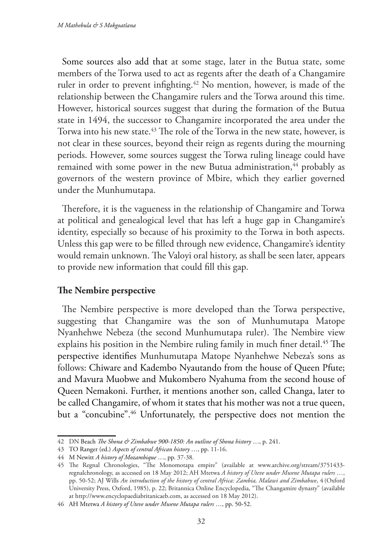Some sources also add that at some stage, later in the Butua state, some members of the Torwa used to act as regents after the death of a Changamire ruler in order to prevent infighting.<sup>42</sup> No mention, however, is made of the relationship between the Changamire rulers and the Torwa around this time. However, historical sources suggest that during the formation of the Butua state in 1494, the successor to Changamire incorporated the area under the Torwa into his new state.<sup>43</sup> The role of the Torwa in the new state, however, is not clear in these sources, beyond their reign as regents during the mourning periods. However, some sources suggest the Torwa ruling lineage could have remained with some power in the new Butua administration,<sup>44</sup> probably as governors of the western province of Mbire, which they earlier governed under the Munhumutapa.

Therefore, it is the vagueness in the relationship of Changamire and Torwa at political and genealogical level that has left a huge gap in Changamire's identity, especially so because of his proximity to the Torwa in both aspects. Unless this gap were to be filled through new evidence, Changamire's identity would remain unknown. The Valoyi oral history, as shall be seen later, appears to provide new information that could fill this gap.

### **The Nembire perspective**

The Nembire perspective is more developed than the Torwa perspective, suggesting that Changamire was the son of Munhumutapa Matope Nyanhehwe Nebeza (the second Munhumutapa ruler). The Nembire view explains his position in the Nembire ruling family in much finer detail.<sup>45</sup> The perspective identifies Munhumutapa Matope Nyanhehwe Nebeza's sons as follows: Chiware and Kadembo Nyautando from the house of Queen Pfute; and Mavura Muobwe and Mukombero Nyahuma from the second house of Queen Nemakoni. Further, it mentions another son, called Changa, later to be called Changamire, of whom it states that his mother was not a true queen, but a "concubine".46 Unfortunately, the perspective does not mention the

<sup>42</sup> DN Beach *The Shona & Zimbabwe 900-1850: An outline of Shona history* …, p. 241.

<sup>43</sup> TO Ranger (ed.) *Aspects of central African history* …, pp. 11-16.

<sup>44</sup> M Newitt *A history of Mozambique* …, pp. 37-38.

<sup>45</sup> The Regnal Chronologies, "The Monomotapa empire" (available at www.archive.org/stream/3751433 regnalchronology, as accessed on 18 May 2012; AH Mtetwa *A history of Uteve under Mwene Mutapa rulers* …, pp. 50-52; AJ Wills *An introduction of the history of central Africa: Zambia, Malawi and Zimbabwe*, 4 (Oxford University Press, Oxford, 1985), p. 22; Britannica Online Encyclopedia, "The Changamire dynasty" (available at http://www.encyclopaediabritanicaeb.com, as accessed on 18 May 2012).

<sup>46</sup> AH Mtetwa *A history of Uteve under Mwene Mutapa rulers* …, pp. 50-52.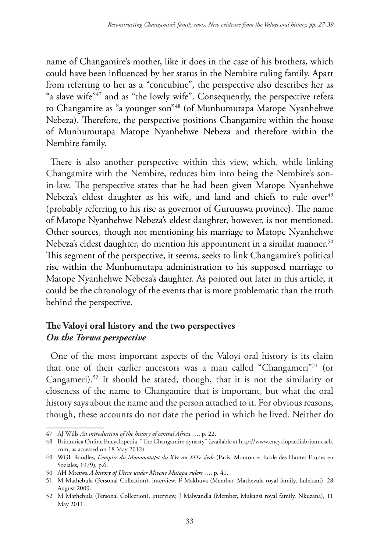name of Changamire's mother, like it does in the case of his brothers, which could have been influenced by her status in the Nembire ruling family. Apart from referring to her as a "concubine", the perspective also describes her as "a slave wife"<sup>47</sup> and as "the lowly wife". Consequently, the perspective refers to Changamire as "a younger son"48 (of Munhumutapa Matope Nyanhehwe Nebeza). Therefore, the perspective positions Changamire within the house of Munhumutapa Matope Nyanhehwe Nebeza and therefore within the Nembire family.

There is also another perspective within this view, which, while linking Changamire with the Nembire, reduces him into being the Nembire's sonin-law. The perspective states that he had been given Matope Nyanhehwe Nebeza's eldest daughter as his wife, and land and chiefs to rule over<sup>49</sup> (probably referring to his rise as governor of Guruuswa province). The name of Matope Nyanhehwe Nebeza's eldest daughter, however, is not mentioned. Other sources, though not mentioning his marriage to Matope Nyanhehwe Nebeza's eldest daughter, do mention his appointment in a similar manner.<sup>50</sup> This segment of the perspective, it seems, seeks to link Changamire's political rise within the Munhumutapa administration to his supposed marriage to Matope Nyanhehwe Nebeza's daughter. As pointed out later in this article, it could be the chronology of the events that is more problematic than the truth behind the perspective.

# **The Valoyi oral history and the two perspectives** *On the Torwa perspective*

One of the most important aspects of the Valoyi oral history is its claim that one of their earlier ancestors was a man called "Changameri"<sup>51</sup> (or Cangameri).52 It should be stated, though, that it is not the similarity or closeness of the name to Changamire that is important, but what the oral history says about the name and the person attached to it. For obvious reasons, though, these accounts do not date the period in which he lived. Neither do

<sup>47</sup> AJ Wills *An introduction of the history of central Africa* …, p. 22.

<sup>48</sup> Britannica Online Encyclopedia, "The Changamire dynasty" (available at http://www.encyclopaediabritanicaeb. com, as accessed on 18 May 2012).

<sup>49</sup> WGL Randles, *L'empire du Monomotapa du XVe au XIXe siede* (Paris, Mouton et Ecole des Hautes Etudes en Sociales, 1979), p.6.

<sup>50</sup> AH Mtetwa *A history of Uteve under Mwene Mutapa rulers* …, p. 41.

<sup>51</sup> M Mathebula (Personal Collection), interview, F Makhuva (Member, Mathevula royal family, Lulekani), 28 August 2009.

<sup>52</sup> M Mathebula (Personal Collection), interview, J Malwandla (Member, Mukansi royal family, Nkuzana), 11 May 2011.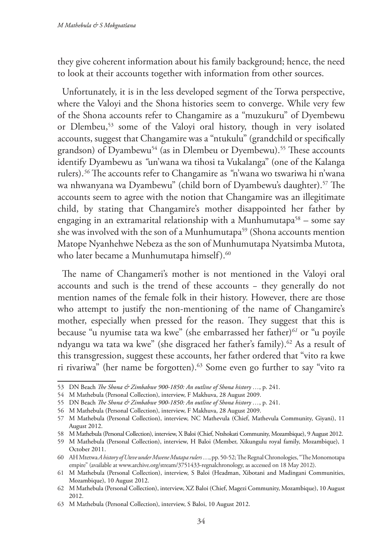they give coherent information about his family background; hence, the need to look at their accounts together with information from other sources.

Unfortunately, it is in the less developed segment of the Torwa perspective, where the Valoyi and the Shona histories seem to converge. While very few of the Shona accounts refer to Changamire as a "muzukuru" of Dyembewu or Dlembeu,<sup>53</sup> some of the Valoyi oral history, though in very isolated accounts, suggest that Changamire was a "ntukulu" (grandchild or specifically grandson) of Dyambewu<sup>54</sup> (as in Dlembeu or Dyembewu).<sup>55</sup> These accounts identify Dyambewu as *"*un'wana wa tihosi ta Vukalanga" (one of the Kalanga rulers).*<sup>56</sup>* The accounts refer to Changamire as *"*n'wana wo tswariwa hi n'wana wa nhwanyana wa Dyambewu" (child born of Dyambewu's daughter).<sup>57</sup> The accounts seem to agree with the notion that Changamire was an illegitimate child, by stating that Changamire's mother disappointed her father by engaging in an extramarital relationship with a Munhumutapa<sup>58</sup> – some say she was involved with the son of a Munhumutapa<sup>59</sup> (Shona accounts mention Matope Nyanhehwe Nebeza as the son of Munhumutapa Nyatsimba Mutota, who later became a Munhumutapa himself).<sup>60</sup>

The name of Changameri's mother is not mentioned in the Valoyi oral accounts and such is the trend of these accounts − they generally do not mention names of the female folk in their history. However, there are those who attempt to justify the non-mentioning of the name of Changamire's mother, especially when pressed for the reason. They suggest that this is because "u nyumise tata wa kwe" (she embarrassed her father)*<sup>61</sup>* or "u poyile ndyangu wa tata wa kwe" (she disgraced her father's family).<sup>62</sup> As a result of this transgression, suggest these accounts, her father ordered that "vito ra kwe ri rivariwa" (her name be forgotten).<sup>63</sup> Some even go further to say "vito ra

<sup>53</sup> DN Beach *The Shona & Zimbabwe 900-1850: An outline of Shona history …*, p. 241.

<sup>54</sup> M Mathebula (Personal Collection), interview, F Makhuva, 28 August 2009.

<sup>55</sup> DN Beach *The Shona & Zimbabwe 900-1850: An outline of Shona history …*, p. 241.

<sup>56</sup> M Mathebula (Personal Collection), interview, F Makhuva, 28 August 2009.

<sup>57</sup> M Mathebula (Personal Collection), interview, NC Mathevula (Chief, Mathevula Community, Giyani), 11 August 2012.

<sup>58</sup> M Mathebula (Personal Collection), interview, X Baloi (Chief, Ntshokati Community, Mozambique), 9 August 2012.

<sup>59</sup> M Mathebula (Personal Collection), interview, H Baloi (Member, Xikungulu royal family, Mozambique), 1 October 2011.

<sup>60</sup> AH Mtetwa *A history of Uteve under Mwene Mutapa rulers* …, pp. 50-52; The Regnal Chronologies, "The Monomotapa empire" (available at www.archive.org/stream/3751433-regnalchronology, as accessed on 18 May 2012).

<sup>61</sup> M Mathebula (Personal Collection), interview, S Baloi (Headman, Xibotani and Madingani Communities, Mozambique), 10 August 2012.

<sup>62</sup> M Mathebula (Personal Collection), interview, XZ Baloi (Chief, Magezi Community, Mozambique), 10 August 2012.

<sup>63</sup> M Mathebula (Personal Collection), interview, S Baloi, 10 August 2012.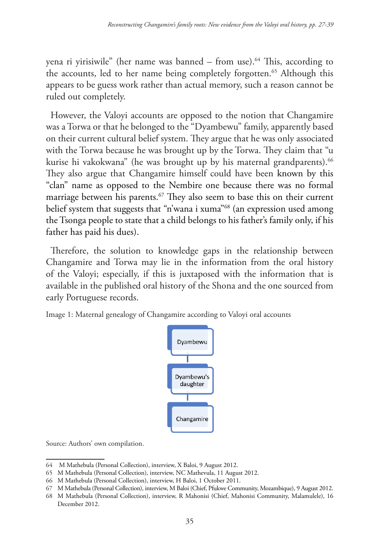yena ri yirisiwile" (her name was banned – from use).<sup>64</sup> This, according to the accounts, led to her name being completely forgotten.<sup>65</sup> Although this appears to be guess work rather than actual memory, such a reason cannot be ruled out completely.

However, the Valoyi accounts are opposed to the notion that Changamire was a Torwa or that he belonged to the "Dyambewu" family, apparently based on their current cultural belief system. They argue that he was only associated with the Torwa because he was brought up by the Torwa. They claim that "u kurise hi vakokwana" (he was brought up by his maternal grandparents).<sup>66</sup> They also argue that Changamire himself could have been known by this "clan" name as opposed to the Nembire one because there was no formal marriage between his parents.<sup>67</sup> They also seem to base this on their current belief system that suggests that "n'wana i xuma"68 (an expression used among the Tsonga people to state that a child belongs to his father's family only, if his father has paid his dues).

Therefore, the solution to knowledge gaps in the relationship between Changamire and Torwa may lie in the information from the oral history of the Valoyi; especially, if this is juxtaposed with the information that is available in the published oral history of the Shona and the one sourced from early Portuguese records.

Image 1: Maternal genealogy of Changamire according to Valoyi oral accounts



Source: Authors' own compilation.

<sup>64</sup> M Mathebula (Personal Collection), interview, X Baloi, 9 August 2012.

<sup>65</sup> M Mathebula (Personal Collection), interview, NC Mathevula, 11 August 2012.

<sup>66</sup> M Mathebula (Personal Collection), interview, H Baloi, 1 October 2011.

<sup>67</sup> M Mathebula (Personal Collection), interview, M Baloi (Chief, Pfukwe Community, Mozambique), 9 August 2012.

<sup>68</sup> M Mathebula (Personal Collection), interview, R Mahonisi (Chief, Mahonisi Community, Malamulele), 16 December 2012.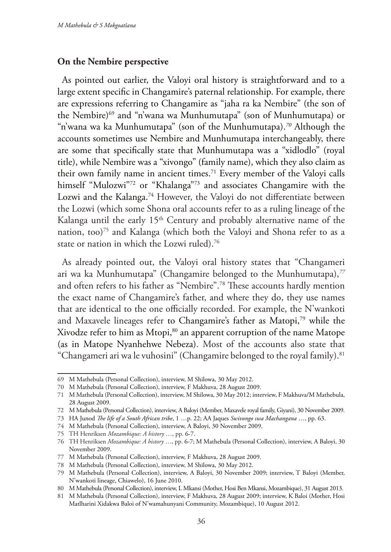#### **On the Nembire perspective**

As pointed out earlier, the Valoyi oral history is straightforward and to a large extent specific in Changamire's paternal relationship. For example, there are expressions referring to Changamire as "jaha ra ka Nembire" (the son of the Nembire)69 and "n'wana wa Munhumutapa" (son of Munhumutapa) or "n'wana wa ka Munhumutapa" (son of the Munhumutapa).*<sup>70</sup>* Although the accounts sometimes use Nembire and Munhumutapa interchangeably, there are some that specifically state that Munhumutapa was a "xidlodlo" (royal title), while Nembire was a "xivongo" (family name), which they also claim as their own family name in ancient times.71 Every member of the Valoyi calls himself "Mulozwi"<sup>72</sup> or "Khalanga"<sup>73</sup> and associates Changamire with the Lozwi and the Kalanga.<sup>74</sup> However, the Valoyi do not differentiate between the Lozwi (which some Shona oral accounts refer to as a ruling lineage of the Kalanga until the early 15<sup>th</sup> Century and probably alternative name of the nation, too)<sup>75</sup> and Kalanga (which both the Valoyi and Shona refer to as a state or nation in which the Lozwi ruled).76

As already pointed out, the Valoyi oral history states that "Changameri ari wa ka Munhumutapa" (Changamire belonged to the Munhumutapa),*<sup>77</sup>* and often refers to his father as "Nembire".78 These accounts hardly mention the exact name of Changamire's father, and where they do, they use names that are identical to the one officially recorded. For example, the N'wankoti and Maxavele lineages refer to Changamire's father as Matopi,79 while the Xivodze refer to him as Mtopi,<sup>80</sup> an apparent corruption of the name Matope (as in Matope Nyanhehwe Nebeza). Most of the accounts also state that "Changameri ari wa le vuhosini" (Changamire belonged to the royal family).<sup>81</sup>

<sup>69</sup> M Mathebula (Personal Collection), interview, M Shilowa, 30 May 2012.

<sup>70</sup> M Mathebula (Personal Collection), interview, F Makhuva, 28 August 2009.

<sup>71</sup> M Mathebula (Personal Collection), interview, M Shilowa, 30 May 2012; interview, F Makhuva/M Mathebula, 28 August 2009.

<sup>72</sup> M Mathebula (Personal Collection), interview, A Baloyi (Member, Maxavele royal family, Giyani), 30 November 2009.

<sup>73</sup> HA Junod *The life of a South African tribe*, 1 …p. 22; AA Jaques *Swivongo swa Machangana* …, pp. 63.

<sup>74</sup> M Mathebula (Personal Collection), interview, A Baloyi, 30 November 2009.

<sup>75</sup> TH Henriksen *Mozambique: A history* …, pp. 6-7.

<sup>76</sup> TH Henriksen *Mozambique: A history* …, pp. 6-7; M Mathebula (Personal Collection), interview, A Baloyi, 30 November 2009.

<sup>77</sup> M Mathebula (Personal Collection), interview, F Makhuva, 28 August 2009.

<sup>78</sup> M Mathebula (Personal Collection), interview, M Shilowa, 30 May 2012.

<sup>79</sup> M Mathebula (Personal Collection), interview, A Baloyi, 30 November 2009; interview, T Baloyi (Member, N'wankoti lineage, Chiawelo), 16 June 2010.

<sup>80</sup> M Mathebula (Personal Collection), interview, L Mkansi (Mother, Hosi Ben Mkansi, Mozambique), 31 August 2013.

<sup>81</sup> M Mathebula (Personal Collection), interview, F Makhuva, 28 August 2009; interview, K Baloi (Mother, Hosi Matlharini Xidakwa Baloi of N'wamahunyani Community, Mozambique), 10 August 2012.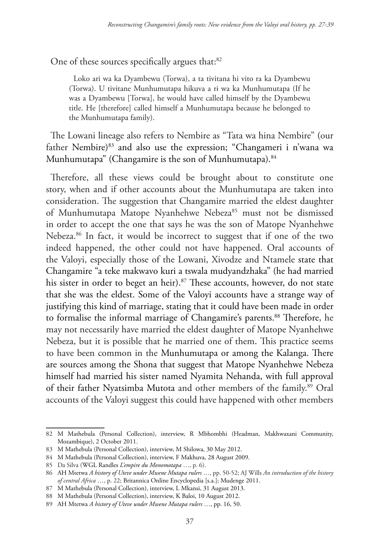One of these sources specifically argues that:<sup>82</sup>

Loko ari wa ka Dyambewu (Torwa), a ta tivitana hi vito ra ka Dyambewu (Torwa). U tivitane Munhumutapa hikuva a ri wa ka Munhumutapa (If he was a Dyambewu [Torwa], he would have called himself by the Dyambewu title. He [therefore] called himself a Munhumutapa because he belonged to the Munhumutapa family).

The Lowani lineage also refers to Nembire as "Tata wa hina Nembire" (our father Nembire)<sup>83</sup> and also use the expression; "Changameri i n'wana wa Munhumutapa" (Changamire is the son of Munhumutapa).<sup>84</sup>

Therefore, all these views could be brought about to constitute one story, when and if other accounts about the Munhumutapa are taken into consideration. The suggestion that Changamire married the eldest daughter of Munhumutapa Matope Nyanhehwe Nebeza<sup>85</sup> must not be dismissed in order to accept the one that says he was the son of Matope Nyanhehwe Nebeza.86 In fact, it would be incorrect to suggest that if one of the two indeed happened, the other could not have happened. Oral accounts of the Valoyi, especially those of the Lowani, Xivodze and Ntamele state that Changamire "a teke makwavo kuri a tswala mudyandzhaka" (he had married his sister in order to beget an heir).<sup>87</sup> These accounts, however, do not state that she was the eldest. Some of the Valoyi accounts have a strange way of justifying this kind of marriage, stating that it could have been made in order to formalise the informal marriage of Changamire's parents.<sup>88</sup> Therefore, he may not necessarily have married the eldest daughter of Matope Nyanhehwe Nebeza, but it is possible that he married one of them. This practice seems to have been common in the Munhumutapa or among the Kalanga. There are sources among the Shona that suggest that Matope Nyanhehwe Nebeza himself had married his sister named Nyamita Nehanda, with full approval of their father Nyatsimba Mutota and other members of the family.<sup>89</sup> Oral accounts of the Valoyi suggest this could have happened with other members

<sup>82</sup> M Mathebula (Personal Collection), interview, R Mbhombhi (Headman, Makhwaxani Community, Mozambique), 2 October 2011.

<sup>83</sup> M Mathebula (Personal Collection), interview, M Shilowa, 30 May 2012.

<sup>84</sup> M Mathebula (Personal Collection), interview, F Makhuva, 28 August 2009.

<sup>85</sup> Da Silva (WGL Randles *L'empire du Monomotapa* …, p. 6).

<sup>86</sup> AH Mtetwa *A history of Uteve under Mwene Mutapa rulers* …, pp. 50-52; AJ Wills *An introduction of the history of central Africa* …, p. 22; Britannica Online Encyclopedia [s.a.]; Mudenge 2011.

<sup>87</sup> M Mathebula (Personal Collection), interview, L Mkansi, 31 August 2013.

<sup>88</sup> M Mathebula (Personal Collection), interview, K Baloi, 10 August 2012.

<sup>89</sup> AH Mtetwa *A history of Uteve under Mwene Mutapa rulers* …, pp. 16, 50.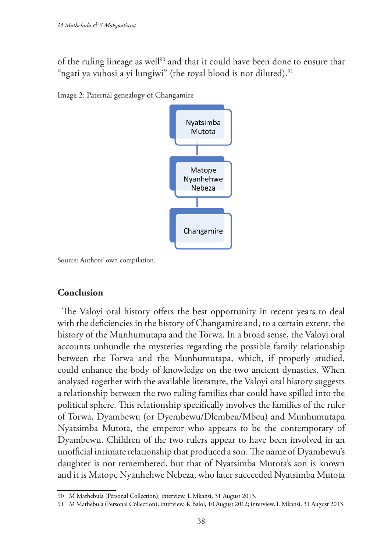of the ruling lineage as well<sup>90</sup> and that it could have been done to ensure that "ngati ya vuhosi a yi lungiwi" (the royal blood is not diluted).<sup>91</sup>





Source: Authors' own compilation.

### **Conclusion**

The Valoyi oral history offers the best opportunity in recent years to deal with the deficiencies in the history of Changamire and, to a certain extent, the history of the Munhumutapa and the Torwa. In a broad sense, the Valoyi oral accounts unbundle the mysteries regarding the possible family relationship between the Torwa and the Munhumutapa, which, if properly studied, could enhance the body of knowledge on the two ancient dynasties. When analysed together with the available literature, the Valoyi oral history suggests a relationship between the two ruling families that could have spilled into the political sphere. This relationship specifically involves the families of the ruler of Torwa, Dyambewu (or Dyembewu/Dlembeu/Mbeu) and Munhumutapa Nyatsimba Mutota, the emperor who appears to be the contemporary of Dyambewu. Children of the two rulers appear to have been involved in an unofficial intimate relationship that produced a son. The name of Dyambewu's daughter is not remembered, but that of Nyatsimba Mutota's son is known and it is Matope Nyanhehwe Nebeza, who later succeeded Nyatsimba Mutota

<sup>90</sup> M Mathebula (Personal Collection), interview, L Mkansi, 31 August 2013.

<sup>91</sup> M Mathebula (Personal Collection), interview, K Baloi, 10 August 2012; interview, L Mkansi, 31 August 2013.